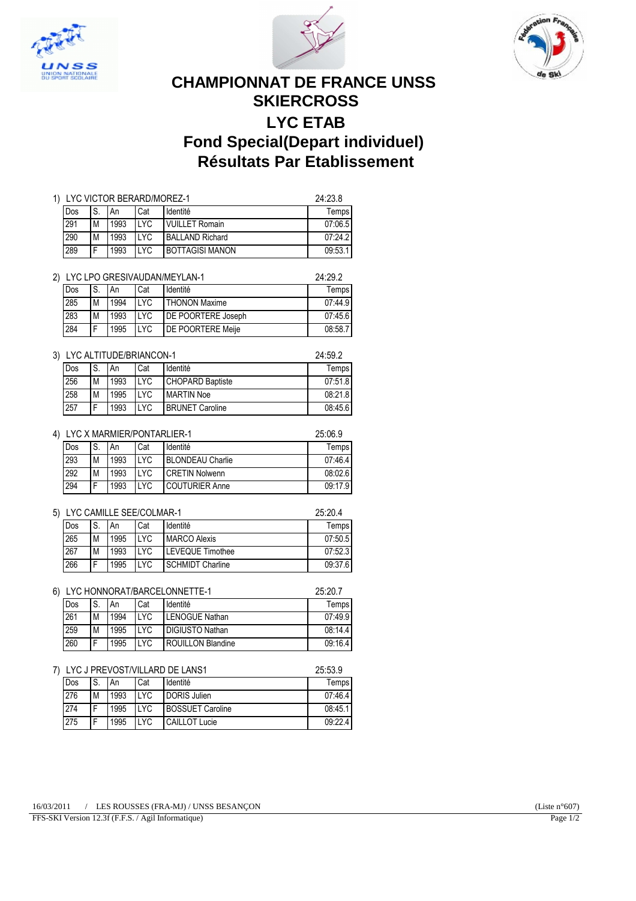





# **CHAMPIONNAT DE FRANCE UNSS SKIERCROSS LYC ETAB Fond Special(Depart individuel) Résultats Par Etablissement**

| 1) LYC VICTOR BERARD/MOREZ-1 |   |      |      |                        |         |  |
|------------------------------|---|------|------|------------------------|---------|--|
| Dos                          |   | An   | Cat  | Identité               | Temps   |  |
| 291                          | M | 1993 | I YC | <b>VUILLET Romain</b>  | 07:06.5 |  |
| 290                          | M | 1993 | I YC | <b>BALLAND Richard</b> | 07:24.2 |  |
| 289                          |   | 1993 | I YC | <b>BOTTAGISI MANON</b> | 09:53.1 |  |

| LYC LPO GRESIVAUDAN/MEYLAN-1 |   |      |            |                           |         |  |
|------------------------------|---|------|------------|---------------------------|---------|--|
| Dos                          | S | An   | Cat        | Identité                  | Temps   |  |
| 285                          | M | 1994 | TYC.       | <b>THONON Maxime</b>      | 07:44.9 |  |
| 283                          | M | 1993 | TYC.       | <b>DE POORTERE Joseph</b> | 07:45.6 |  |
| 284                          |   | 1995 | <b>LYC</b> | <b>IDE POORTERE Meile</b> | 08:58.7 |  |

## 3) LYC ALTITUDE/BRIANCON-1 24:59.2

| l Dos | ۱S. | l An | Cat        | Identité                | Temps I |  |  |
|-------|-----|------|------------|-------------------------|---------|--|--|
| 256   | M   | 1993 | <b>LYC</b> | <b>CHOPARD Baptiste</b> | 07:51.8 |  |  |
| 258   | М   | 1995 | LYC        | <b>MARTIN Noe</b>       | 08:21.8 |  |  |
| 257   | Е   | 1993 | LYC        | <b>BRUNET Caroline</b>  | 08:45.6 |  |  |

#### 4) LYC X MARMIER/PONTARLIER-1 25:06.9

| l Dos | 'S. | An   | Cat        | Identité                | Temps   |
|-------|-----|------|------------|-------------------------|---------|
| 293   | M   | 1993 | <b>LYC</b> | <b>BLONDEAU Charlie</b> | 07:46.4 |
| 292   | M   | 1993 | <b>LYC</b> | <b>CRETIN Nolwenn</b>   | 08:02.6 |
| 294   | Е   | 1993 | <b>LYC</b> | <b>COUTURIER Anne</b>   | 09:17.9 |

## 5) LYC CAMILLE SEE/COLMAR-1 25:20.4

| l Dos |    | An   | Cat        | Identité                | Temps   |  |
|-------|----|------|------------|-------------------------|---------|--|
| 265   | ΙM | 1995 | <b>LYC</b> | <b>MARCO Alexis</b>     | 07:50.5 |  |
| 267   | M  | 1993 | <b>LYC</b> | LEVEQUE Timothee        | 07:52.3 |  |
| 266   |    | 1995 | <b>LYC</b> | <b>SCHMIDT Charline</b> | 09:37.6 |  |

#### 6) LYC HONNORAT/BARCELONNETTE-1 25:20.7

| l Dos | 'S. | An   | Cat        | Identité                 | Temps   |
|-------|-----|------|------------|--------------------------|---------|
| 261   | M   | 1994 | <b>LYC</b> | <b>LENOGUE Nathan</b>    | 07:49.9 |
| 259   | M   | 1995 | <b>LYC</b> | <b>DIGIUSTO Nathan</b>   | 08:14.4 |
| 260   | F   | 1995 | <b>LYC</b> | <b>ROUILLON Blandine</b> | 09:16.4 |

#### 7) LYC J PREVOST/VILLARD DE LANS1 25:53.9

|     | LIV 9 I INLY VU II VILLI 11 1 DI LI 11 1 VI |      |            |                         |         |  |
|-----|---------------------------------------------|------|------------|-------------------------|---------|--|
| Dos | IS.                                         | ' An | Cat        | Identité                | Temps   |  |
| 276 | M                                           | 1993 | <b>LYC</b> | <b>DORIS Julien</b>     | 07:46.4 |  |
| 274 | Е                                           | 1995 | <b>LYC</b> | <b>BOSSUET Caroline</b> | 08:45.1 |  |
| 275 | Е                                           | 1995 | <b>LYC</b> | <b>CAILLOT Lucie</b>    | 09:22.4 |  |